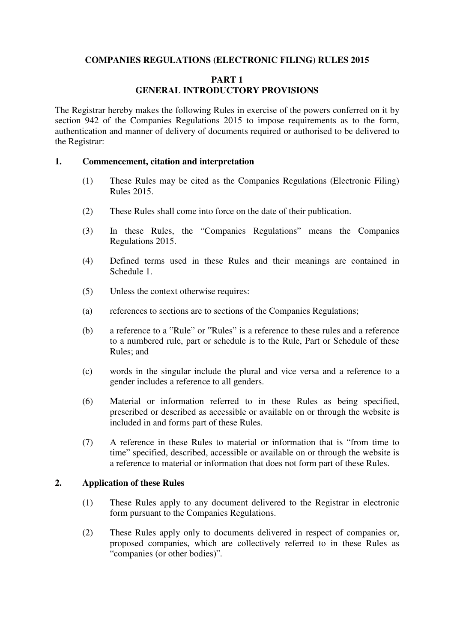### **COMPANIES REGULATIONS (ELECTRONIC FILING) RULES 2015**

## **PART 1 GENERAL INTRODUCTORY PROVISIONS**

The Registrar hereby makes the following Rules in exercise of the powers conferred on it by section 942 of the Companies Regulations 2015 to impose requirements as to the form, authentication and manner of delivery of documents required or authorised to be delivered to the Registrar:

#### **1. Commencement, citation and interpretation**

- (1) These Rules may be cited as the Companies Regulations (Electronic Filing) Rules 2015.
- (2) These Rules shall come into force on the date of their publication.
- (3) In these Rules, the "Companies Regulations" means the Companies Regulations 2015.
- (4) Defined terms used in these Rules and their meanings are contained in Schedule 1.
- (5) Unless the context otherwise requires:
- (a) references to sections are to sections of the Companies Regulations;
- (b) a reference to a "Rule" or "Rules" is a reference to these rules and a reference to a numbered rule, part or schedule is to the Rule, Part or Schedule of these Rules; and
- (c) words in the singular include the plural and vice versa and a reference to a gender includes a reference to all genders.
- (6) Material or information referred to in these Rules as being specified, prescribed or described as accessible or available on or through the website is included in and forms part of these Rules.
- (7) A reference in these Rules to material or information that is "from time to time" specified, described, accessible or available on or through the website is a reference to material or information that does not form part of these Rules.

#### **2. Application of these Rules**

- (1) These Rules apply to any document delivered to the Registrar in electronic form pursuant to the Companies Regulations.
- (2) These Rules apply only to documents delivered in respect of companies or, proposed companies, which are collectively referred to in these Rules as "companies (or other bodies)"*.*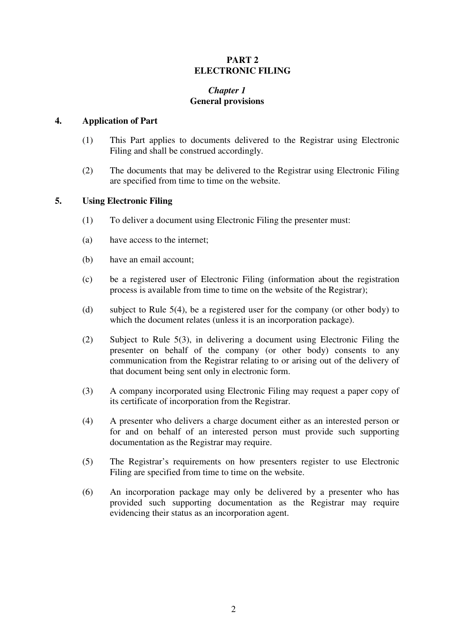## **PART 2 ELECTRONIC FILING**

# *Chapter 1* **General provisions**

### **4. Application of Part**

- (1) This Part applies to documents delivered to the Registrar using Electronic Filing and shall be construed accordingly.
- (2) The documents that may be delivered to the Registrar using Electronic Filing are specified from time to time on the website.

## **5. Using Electronic Filing**

- (1) To deliver a document using Electronic Filing the presenter must:
- (a) have access to the internet;
- (b) have an email account;
- (c) be a registered user of Electronic Filing (information about the registration process is available from time to time on the website of the Registrar);
- (d) subject to Rule 5(4), be a registered user for the company (or other body) to which the document relates (unless it is an incorporation package).
- (2) Subject to Rule 5(3), in delivering a document using Electronic Filing the presenter on behalf of the company (or other body) consents to any communication from the Registrar relating to or arising out of the delivery of that document being sent only in electronic form.
- (3) A company incorporated using Electronic Filing may request a paper copy of its certificate of incorporation from the Registrar.
- (4) A presenter who delivers a charge document either as an interested person or for and on behalf of an interested person must provide such supporting documentation as the Registrar may require.
- (5) The Registrar's requirements on how presenters register to use Electronic Filing are specified from time to time on the website.
- (6) An incorporation package may only be delivered by a presenter who has provided such supporting documentation as the Registrar may require evidencing their status as an incorporation agent.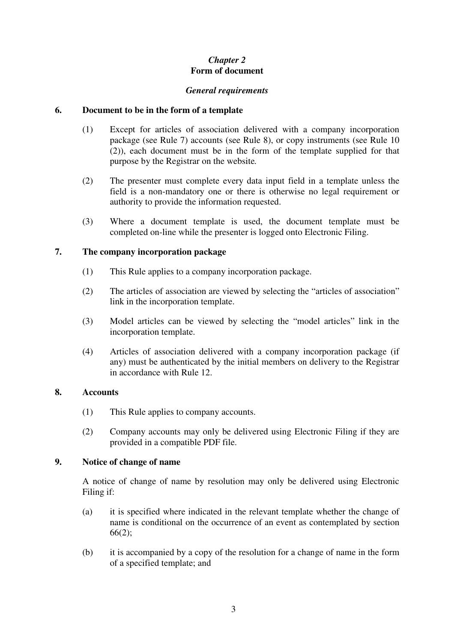# *Chapter 2* **Form of document**

### *General requirements*

## **6. Document to be in the form of a template**

- (1) Except for articles of association delivered with a company incorporation package (see Rule 7) accounts (see Rule 8), or copy instruments (see Rule 10 (2)), each document must be in the form of the template supplied for that purpose by the Registrar on the website*.*
- (2) The presenter must complete every data input field in a template unless the field is a non-mandatory one or there is otherwise no legal requirement or authority to provide the information requested.
- (3) Where a document template is used, the document template must be completed on-line while the presenter is logged onto Electronic Filing.

# **7. The company incorporation package**

- (1) This Rule applies to a company incorporation package.
- (2) The articles of association are viewed by selecting the "articles of association" link in the incorporation template.
- (3) Model articles can be viewed by selecting the "model articles" link in the incorporation template.
- (4) Articles of association delivered with a company incorporation package (if any) must be authenticated by the initial members on delivery to the Registrar in accordance with Rule 12.

#### **8. Accounts**

- (1) This Rule applies to company accounts.
- (2) Company accounts may only be delivered using Electronic Filing if they are provided in a compatible PDF file.

# **9. Notice of change of name**

A notice of change of name by resolution may only be delivered using Electronic Filing if:

- (a) it is specified where indicated in the relevant template whether the change of name is conditional on the occurrence of an event as contemplated by section 66(2);
- (b) it is accompanied by a copy of the resolution for a change of name in the form of a specified template; and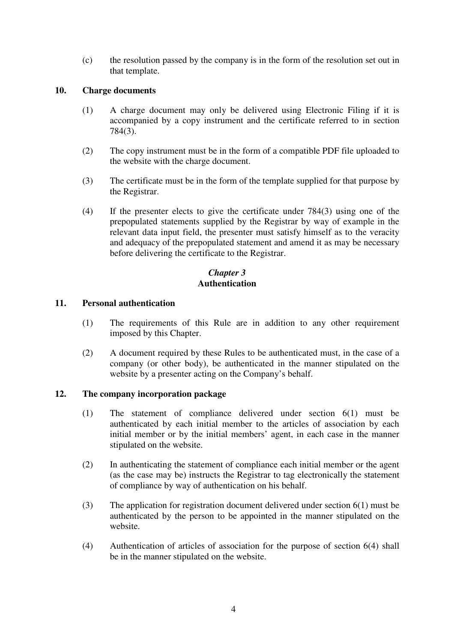(c) the resolution passed by the company is in the form of the resolution set out in that template.

## **10. Charge documents**

- (1) A charge document may only be delivered using Electronic Filing if it is accompanied by a copy instrument and the certificate referred to in section 784(3).
- (2) The copy instrument must be in the form of a compatible PDF file uploaded to the website with the charge document.
- (3) The certificate must be in the form of the template supplied for that purpose by the Registrar.
- (4) If the presenter elects to give the certificate under 784(3) using one of the prepopulated statements supplied by the Registrar by way of example in the relevant data input field, the presenter must satisfy himself as to the veracity and adequacy of the prepopulated statement and amend it as may be necessary before delivering the certificate to the Registrar.

# *Chapter 3*  **Authentication**

## **11. Personal authentication**

- (1) The requirements of this Rule are in addition to any other requirement imposed by this Chapter.
- (2) A document required by these Rules to be authenticated must, in the case of a company (or other body), be authenticated in the manner stipulated on the website by a presenter acting on the Company's behalf.

# **12. The company incorporation package**

- (1) The statement of compliance delivered under section 6(1) must be authenticated by each initial member to the articles of association by each initial member or by the initial members' agent, in each case in the manner stipulated on the website.
- (2) In authenticating the statement of compliance each initial member or the agent (as the case may be) instructs the Registrar to tag electronically the statement of compliance by way of authentication on his behalf.
- (3) The application for registration document delivered under section 6(1) must be authenticated by the person to be appointed in the manner stipulated on the website.
- (4) Authentication of articles of association for the purpose of section 6(4) shall be in the manner stipulated on the website.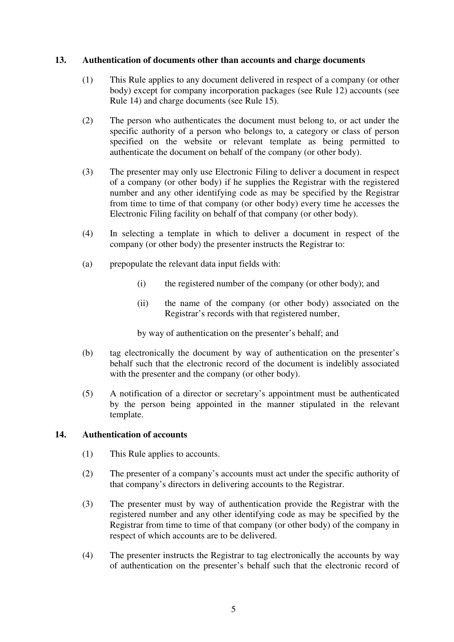### **13. Authentication of documents other than accounts and charge documents**

- (1) This Rule applies to any document delivered in respect of a company (or other body) except for company incorporation packages (see Rule 12) accounts (see Rule 14) and charge documents (see Rule 15).
- (2) The person who authenticates the document must belong to, or act under the specific authority of a person who belongs to, a category or class of person specified on the website or relevant template as being permitted to authenticate the document on behalf of the company (or other body).
- (3) The presenter may only use Electronic Filing to deliver a document in respect of a company (or other body) if he supplies the Registrar with the registered number and any other identifying code as may be specified by the Registrar from time to time of that company (or other body) every time he accesses the Electronic Filing facility on behalf of that company (or other body).
- (4) In selecting a template in which to deliver a document in respect of the company (or other body) the presenter instructs the Registrar to:
- (a) prepopulate the relevant data input fields with:
	- (i) the registered number of the company (or other body); and
	- (ii) the name of the company (or other body) associated on the Registrar's records with that registered number,

by way of authentication on the presenter's behalf; and

- (b) tag electronically the document by way of authentication on the presenter's behalf such that the electronic record of the document is indelibly associated with the presenter and the company (or other body).
- (5) A notification of a director or secretary's appointment must be authenticated by the person being appointed in the manner stipulated in the relevant template.

#### **14. Authentication of accounts**

- (1) This Rule applies to accounts.
- (2) The presenter of a company's accounts must act under the specific authority of that company's directors in delivering accounts to the Registrar.
- (3) The presenter must by way of authentication provide the Registrar with the registered number and any other identifying code as may be specified by the Registrar from time to time of that company (or other body) of the company in respect of which accounts are to be delivered.
- (4) The presenter instructs the Registrar to tag electronically the accounts by way of authentication on the presenter's behalf such that the electronic record of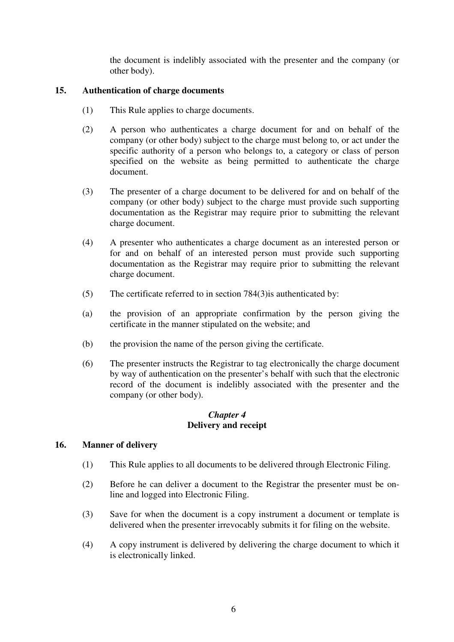the document is indelibly associated with the presenter and the company (or other body).

## **15. Authentication of charge documents**

- (1) This Rule applies to charge documents.
- (2) A person who authenticates a charge document for and on behalf of the company (or other body) subject to the charge must belong to, or act under the specific authority of a person who belongs to, a category or class of person specified on the website as being permitted to authenticate the charge document.
- (3) The presenter of a charge document to be delivered for and on behalf of the company (or other body) subject to the charge must provide such supporting documentation as the Registrar may require prior to submitting the relevant charge document.
- (4) A presenter who authenticates a charge document as an interested person or for and on behalf of an interested person must provide such supporting documentation as the Registrar may require prior to submitting the relevant charge document.
- (5) The certificate referred to in section 784(3)is authenticated by:
- (a) the provision of an appropriate confirmation by the person giving the certificate in the manner stipulated on the website; and
- (b) the provision the name of the person giving the certificate.
- (6) The presenter instructs the Registrar to tag electronically the charge document by way of authentication on the presenter's behalf with such that the electronic record of the document is indelibly associated with the presenter and the company (or other body).

## *Chapter 4*  **Delivery and receipt**

#### **16. Manner of delivery**

- (1) This Rule applies to all documents to be delivered through Electronic Filing.
- (2) Before he can deliver a document to the Registrar the presenter must be online and logged into Electronic Filing.
- (3) Save for when the document is a copy instrument a document or template is delivered when the presenter irrevocably submits it for filing on the website.
- (4) A copy instrument is delivered by delivering the charge document to which it is electronically linked.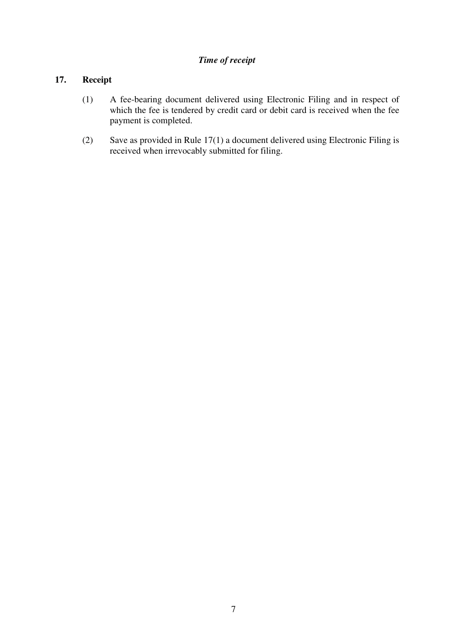# *Time of receipt*

# **17. Receipt**

- (1) A fee-bearing document delivered using Electronic Filing and in respect of which the fee is tendered by credit card or debit card is received when the fee payment is completed.
- (2) Save as provided in Rule 17(1) a document delivered using Electronic Filing is received when irrevocably submitted for filing.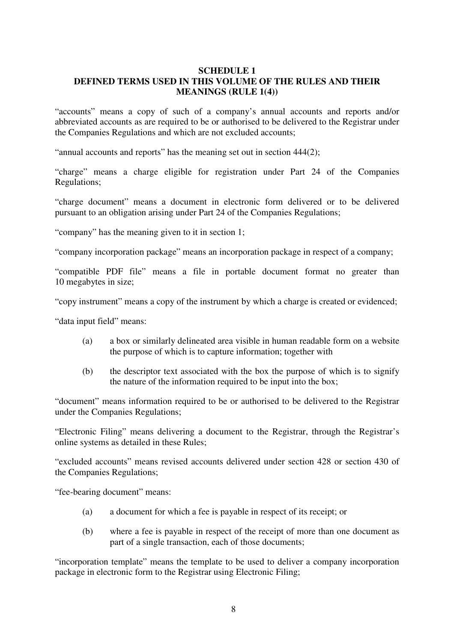### **SCHEDULE 1 DEFINED TERMS USED IN THIS VOLUME OF THE RULES AND THEIR MEANINGS (RULE 1(4))**

"accounts" means a copy of such of a company's annual accounts and reports and/or abbreviated accounts as are required to be or authorised to be delivered to the Registrar under the Companies Regulations and which are not excluded accounts;

"annual accounts and reports" has the meaning set out in section 444(2);

"charge" means a charge eligible for registration under Part 24 of the Companies Regulations;

"charge document" means a document in electronic form delivered or to be delivered pursuant to an obligation arising under Part 24 of the Companies Regulations;

"company" has the meaning given to it in section 1;

"company incorporation package" means an incorporation package in respect of a company;

"compatible PDF file" means a file in portable document format no greater than 10 megabytes in size;

"copy instrument" means a copy of the instrument by which a charge is created or evidenced;

"data input field" means:

- (a) a box or similarly delineated area visible in human readable form on a website the purpose of which is to capture information; together with
- (b) the descriptor text associated with the box the purpose of which is to signify the nature of the information required to be input into the box;

"document" means information required to be or authorised to be delivered to the Registrar under the Companies Regulations;

"Electronic Filing" means delivering a document to the Registrar, through the Registrar's online systems as detailed in these Rules;

"excluded accounts" means revised accounts delivered under section 428 or section 430 of the Companies Regulations;

"fee-bearing document" means:

- (a) a document for which a fee is payable in respect of its receipt; or
- (b) where a fee is payable in respect of the receipt of more than one document as part of a single transaction, each of those documents;

"incorporation template" means the template to be used to deliver a company incorporation package in electronic form to the Registrar using Electronic Filing;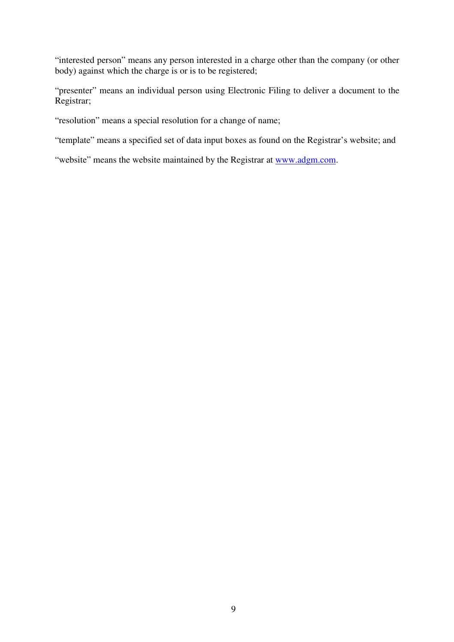"interested person" means any person interested in a charge other than the company (or other body) against which the charge is or is to be registered;

"presenter" means an individual person using Electronic Filing to deliver a document to the Registrar;

"resolution" means a special resolution for a change of name;

"template" means a specified set of data input boxes as found on the Registrar's website; and

"website" means the website maintained by the Registrar at www.adgm.com.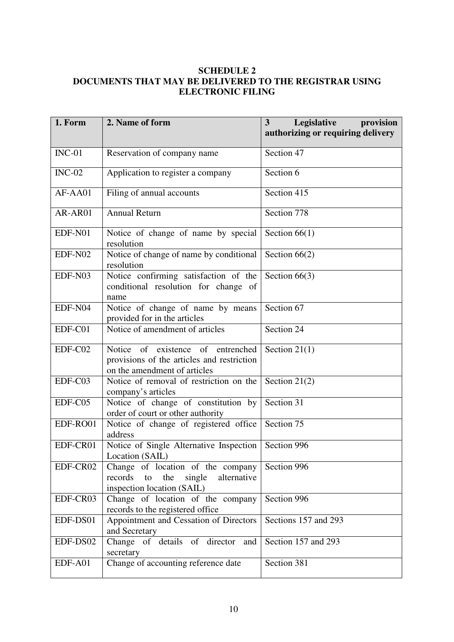# **SCHEDULE 2 DOCUMENTS THAT MAY BE DELIVERED TO THE REGISTRAR USING ELECTRONIC FILING**

| 1. Form  | 2. Name of form                                                                                                 | 3<br>Legislative<br>provision<br>authorizing or requiring delivery |
|----------|-----------------------------------------------------------------------------------------------------------------|--------------------------------------------------------------------|
| $INC-01$ | Reservation of company name                                                                                     | Section 47                                                         |
| $INC-02$ | Application to register a company                                                                               | Section 6                                                          |
| AF-AA01  | Filing of annual accounts                                                                                       | Section 415                                                        |
| AR-AR01  | <b>Annual Return</b>                                                                                            | Section 778                                                        |
| EDF-N01  | Notice of change of name by special<br>resolution                                                               | Section $66(1)$                                                    |
| EDF-N02  | Notice of change of name by conditional<br>resolution                                                           | Section $66(2)$                                                    |
| EDF-N03  | Notice confirming satisfaction of the<br>conditional resolution for change of<br>name                           | Section $66(3)$                                                    |
| EDF-N04  | Notice of change of name by means<br>provided for in the articles                                               | Section 67                                                         |
| EDF-C01  | Notice of amendment of articles                                                                                 | Section 24                                                         |
| EDF-C02  | Notice of existence of entrenched<br>provisions of the articles and restriction<br>on the amendment of articles | Section $21(1)$                                                    |
| EDF-C03  | Notice of removal of restriction on the<br>company's articles                                                   | Section $21(2)$                                                    |
| EDF-C05  | Notice of change of constitution by<br>order of court or other authority                                        | Section 31                                                         |
| EDF-RO01 | Notice of change of registered office<br>address                                                                | Section 75                                                         |
| EDF-CR01 | Notice of Single Alternative Inspection<br>Location (SAIL)                                                      | Section 996                                                        |
| EDF-CR02 | Change of location of the company<br>records to<br>the<br>single<br>alternative<br>inspection location (SAIL)   | Section 996                                                        |
| EDF-CR03 | Change of location of the company<br>records to the registered office                                           | Section 996                                                        |
| EDF-DS01 | Appointment and Cessation of Directors<br>and Secretary                                                         | Sections 157 and 293                                               |
| EDF-DS02 | Change of details of director and<br>secretary                                                                  | Section 157 and 293                                                |
| EDF-A01  | Change of accounting reference date                                                                             | Section 381                                                        |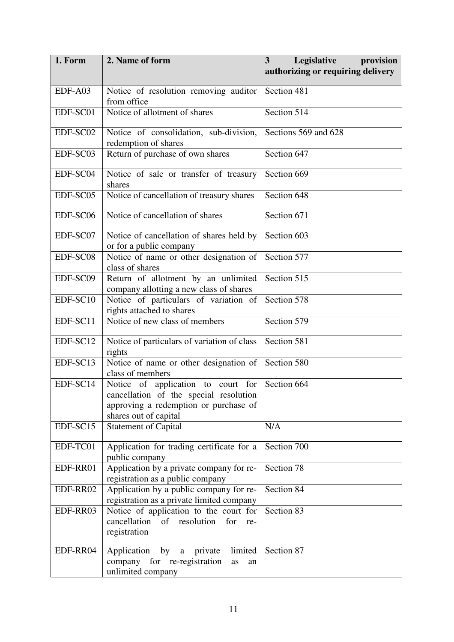| 1. Form  | 2. Name of form                                                                                                                                | <b>Legislative</b><br>provision<br>3<br>authorizing or requiring delivery |
|----------|------------------------------------------------------------------------------------------------------------------------------------------------|---------------------------------------------------------------------------|
| EDF-A03  | Notice of resolution removing auditor<br>from office                                                                                           | Section 481                                                               |
| EDF-SC01 | Notice of allotment of shares                                                                                                                  | Section 514                                                               |
| EDF-SC02 | Notice of consolidation, sub-division,<br>redemption of shares                                                                                 | Sections 569 and 628                                                      |
| EDF-SC03 | Return of purchase of own shares                                                                                                               | Section 647                                                               |
| EDF-SC04 | Notice of sale or transfer of treasury<br>shares                                                                                               | Section 669                                                               |
| EDF-SC05 | Notice of cancellation of treasury shares                                                                                                      | Section 648                                                               |
| EDF-SC06 | Notice of cancellation of shares                                                                                                               | Section 671                                                               |
| EDF-SC07 | Notice of cancellation of shares held by<br>or for a public company                                                                            | Section 603                                                               |
| EDF-SC08 | Notice of name or other designation of<br>class of shares                                                                                      | Section 577                                                               |
| EDF-SC09 | Return of allotment by an unlimited<br>company allotting a new class of shares                                                                 | Section 515                                                               |
| EDF-SC10 | Notice of particulars of variation of<br>rights attached to shares                                                                             | Section 578                                                               |
| EDF-SC11 | Notice of new class of members                                                                                                                 | Section 579                                                               |
| EDF-SC12 | Notice of particulars of variation of class<br>rights                                                                                          | Section 581                                                               |
| EDF-SC13 | Notice of name or other designation of<br>class of members                                                                                     | Section 580                                                               |
| EDF-SC14 | Notice of application to court for<br>cancellation of the special resolution<br>approving a redemption or purchase of<br>shares out of capital | Section 664                                                               |
| EDF-SC15 | <b>Statement of Capital</b>                                                                                                                    | N/A                                                                       |
| EDF-TC01 | Application for trading certificate for a<br>public company                                                                                    | Section 700                                                               |
| EDF-RR01 | Application by a private company for re-<br>registration as a public company                                                                   | Section 78                                                                |
| EDF-RR02 | Application by a public company for re-<br>registration as a private limited company                                                           | Section 84                                                                |
| EDF-RR03 | Notice of application to the court for<br>cancellation of resolution for<br>re-<br>registration                                                | Section 83                                                                |
| EDF-RR04 | Application by a private<br>limited<br>company for re-registration<br>as<br>an<br>unlimited company                                            | Section 87                                                                |